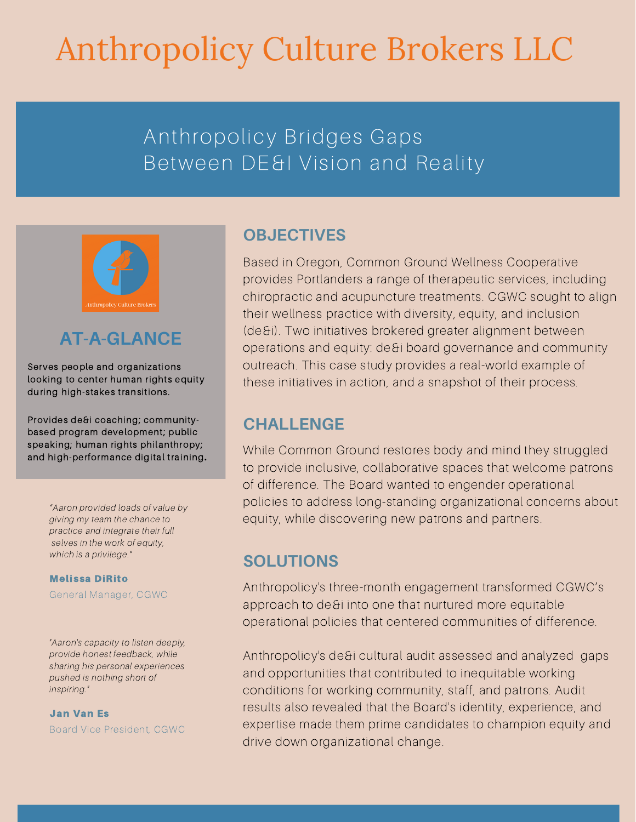# Anthropolicy Culture Brokers LLC

## Anthropolicy Bridges Gaps Between DE&I Vision and Reality



## **AT-A-GLANCE**

Serves people and organizations looking to center human rights equity during high-stakes transitions.

Provides de&i coaching; communitybased program development; public speaking; human rights philanthropy; and high-performance digital training**.**

> "Aaron provided loads of value by giving my team the chance to practice and integrate their full selves in the work of equity, which is a privilege."

Melissa DiRito General Manager, CGWC

"Aaron's capacity to listen deeply, provide honest feedback, while sharing his personal experiences pushed is nothing short of inspiring."

Jan Van Es Board Vice President, CGWC

## **OBJECTIVES**

Based in Oregon, Common Ground Wellness Cooperative provides Portlanders a range of therapeutic services, including chiropractic and acupuncture treatments. CGWC sought to align their wellness practice with diversity, equity, and inclusion (de&i). Two initiatives brokered greater alignment between operations and equity: de&i board governance and community outreach. This case study provides a real-world example of these initiatives in action, and a snapshot of their process.

### **CHALLENGE**

While Common Ground restores body and mind they struggled to provide inclusive, collaborative spaces that welcome patrons of difference. The Board wanted to engender operational policies to address long-standing organizational concerns about equity, while discovering new patrons and partners.

## **SOLUTIONS**

Anthropolicy's three-month engagement transformed CGWC's approach to de&i into one that nurtured more equitable operational policies that centered communities of difference.

Anthropolicy's de&i cultural audit assessed and analyzed gaps and opportunities that contributed to inequitable working conditions for working community, staff, and patrons. Audit results also revealed that the Board's identity, experience, and expertise made them prime candidates to champion equity and drive down organizational change.